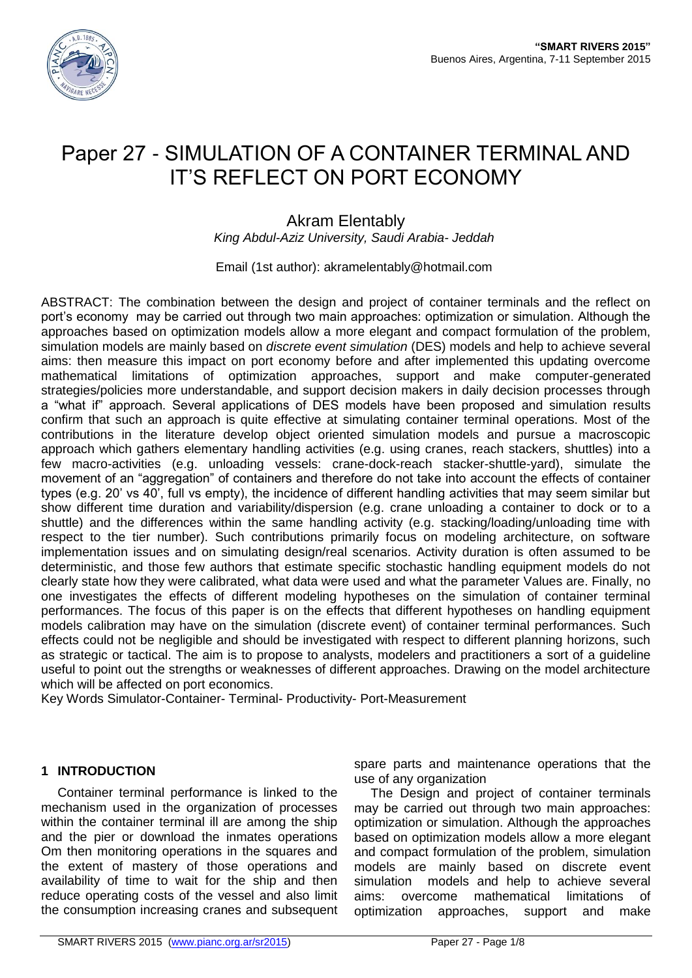

# Paper 27 - SIMULATION OF A CONTAINER TERMINAL AND IT'S REFLECT ON PORT ECONOMY

# Akram Elentably

*King Abdul-Aziz University, Saudi Arabia- Jeddah*

Email (1st author): akramelentably@hotmail.com

ABSTRACT: The combination between the design and project of container terminals and the reflect on port's economy may be carried out through two main approaches: optimization or simulation. Although the approaches based on optimization models allow a more elegant and compact formulation of the problem, simulation models are mainly based on *discrete event simulation* (DES) models and help to achieve several aims: then measure this impact on port economy before and after implemented this updating overcome mathematical limitations of optimization approaches, support and make computer-generated strategies/policies more understandable, and support decision makers in daily decision processes through a "what if" approach. Several applications of DES models have been proposed and simulation results confirm that such an approach is quite effective at simulating container terminal operations. Most of the contributions in the literature develop object oriented simulation models and pursue a macroscopic approach which gathers elementary handling activities (e.g. using cranes, reach stackers, shuttles) into a few macro-activities (e.g. unloading vessels: crane-dock-reach stacker-shuttle-yard), simulate the movement of an "aggregation" of containers and therefore do not take into account the effects of container types (e.g. 20' vs 40', full vs empty), the incidence of different handling activities that may seem similar but show different time duration and variability/dispersion (e.g. crane unloading a container to dock or to a shuttle) and the differences within the same handling activity (e.g. stacking/loading/unloading time with respect to the tier number). Such contributions primarily focus on modeling architecture, on software implementation issues and on simulating design/real scenarios. Activity duration is often assumed to be deterministic, and those few authors that estimate specific stochastic handling equipment models do not clearly state how they were calibrated, what data were used and what the parameter Values are. Finally, no one investigates the effects of different modeling hypotheses on the simulation of container terminal performances. The focus of this paper is on the effects that different hypotheses on handling equipment models calibration may have on the simulation (discrete event) of container terminal performances. Such effects could not be negligible and should be investigated with respect to different planning horizons, such as strategic or tactical. The aim is to propose to analysts, modelers and practitioners a sort of a guideline useful to point out the strengths or weaknesses of different approaches. Drawing on the model architecture which will be affected on port economics.

Key Words Simulator-Container- Terminal- Productivity- Port-Measurement

## **1 INTRODUCTION**

Container terminal performance is linked to the mechanism used in the organization of processes within the container terminal ill are among the ship and the pier or download the inmates operations Om then monitoring operations in the squares and the extent of mastery of those operations and availability of time to wait for the ship and then reduce operating costs of the vessel and also limit the consumption increasing cranes and subsequent spare parts and maintenance operations that the use of any organization

The Design and project of container terminals may be carried out through two main approaches: optimization or simulation. Although the approaches based on optimization models allow a more elegant and compact formulation of the problem, simulation models are mainly based on discrete event simulation models and help to achieve several aims: overcome mathematical limitations of optimization approaches, support and make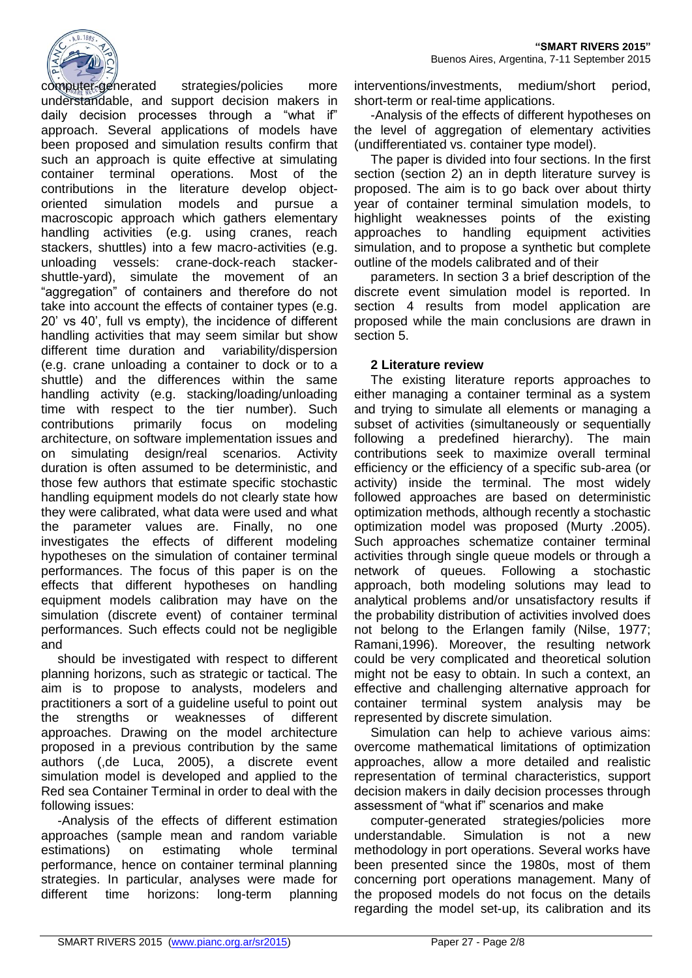

computer-generated strategies/policies more understandable, and support decision makers in daily decision processes through a "what if" approach. Several applications of models have been proposed and simulation results confirm that such an approach is quite effective at simulating container terminal operations. Most of the contributions in the literature develop objectoriented simulation models and pursue a macroscopic approach which gathers elementary handling activities (e.g. using cranes, reach stackers, shuttles) into a few macro-activities (e.g. unloading vessels: crane-dock-reach stackershuttle-yard), simulate the movement of an "aggregation" of containers and therefore do not take into account the effects of container types (e.g. 20' vs 40', full vs empty), the incidence of different handling activities that may seem similar but show different time duration and variability/dispersion (e.g. crane unloading a container to dock or to a shuttle) and the differences within the same handling activity (e.g. stacking/loading/unloading time with respect to the tier number). Such contributions primarily focus on modeling architecture, on software implementation issues and on simulating design/real scenarios. Activity duration is often assumed to be deterministic, and those few authors that estimate specific stochastic handling equipment models do not clearly state how they were calibrated, what data were used and what the parameter values are. Finally, no one investigates the effects of different modeling hypotheses on the simulation of container terminal performances. The focus of this paper is on the effects that different hypotheses on handling equipment models calibration may have on the simulation (discrete event) of container terminal performances. Such effects could not be negligible and

should be investigated with respect to different planning horizons, such as strategic or tactical. The aim is to propose to analysts, modelers and practitioners a sort of a guideline useful to point out the strengths or weaknesses of different approaches. Drawing on the model architecture proposed in a previous contribution by the same authors (,de Luca, 2005), a discrete event simulation model is developed and applied to the Red sea Container Terminal in order to deal with the following issues:

-Analysis of the effects of different estimation approaches (sample mean and random variable estimations) on estimating whole terminal performance, hence on container terminal planning strategies. In particular, analyses were made for different time horizons: long-term planning

interventions/investments, medium/short period, short-term or real-time applications.

-Analysis of the effects of different hypotheses on the level of aggregation of elementary activities (undifferentiated vs. container type model).

The paper is divided into four sections. In the first section (section 2) an in depth literature survey is proposed. The aim is to go back over about thirty year of container terminal simulation models, to highlight weaknesses points of the existing approaches to handling equipment activities simulation, and to propose a synthetic but complete outline of the models calibrated and of their

parameters. In section 3 a brief description of the discrete event simulation model is reported. In section 4 results from model application are proposed while the main conclusions are drawn in section 5.

### **2 Literature review**

The existing literature reports approaches to either managing a container terminal as a system and trying to simulate all elements or managing a subset of activities (simultaneously or sequentially following a predefined hierarchy). The main contributions seek to maximize overall terminal efficiency or the efficiency of a specific sub-area (or activity) inside the terminal. The most widely followed approaches are based on deterministic optimization methods, although recently a stochastic optimization model was proposed (Murty .2005). Such approaches schematize container terminal activities through single queue models or through a network of queues. Following a stochastic approach, both modeling solutions may lead to analytical problems and/or unsatisfactory results if the probability distribution of activities involved does not belong to the Erlangen family (Nilse, 1977; Ramani,1996). Moreover, the resulting network could be very complicated and theoretical solution might not be easy to obtain. In such a context, an effective and challenging alternative approach for container terminal system analysis may be represented by discrete simulation.

Simulation can help to achieve various aims: overcome mathematical limitations of optimization approaches, allow a more detailed and realistic representation of terminal characteristics, support decision makers in daily decision processes through assessment of "what if" scenarios and make

computer-generated strategies/policies more understandable. Simulation is not a new methodology in port operations. Several works have been presented since the 1980s, most of them concerning port operations management. Many of the proposed models do not focus on the details regarding the model set-up, its calibration and its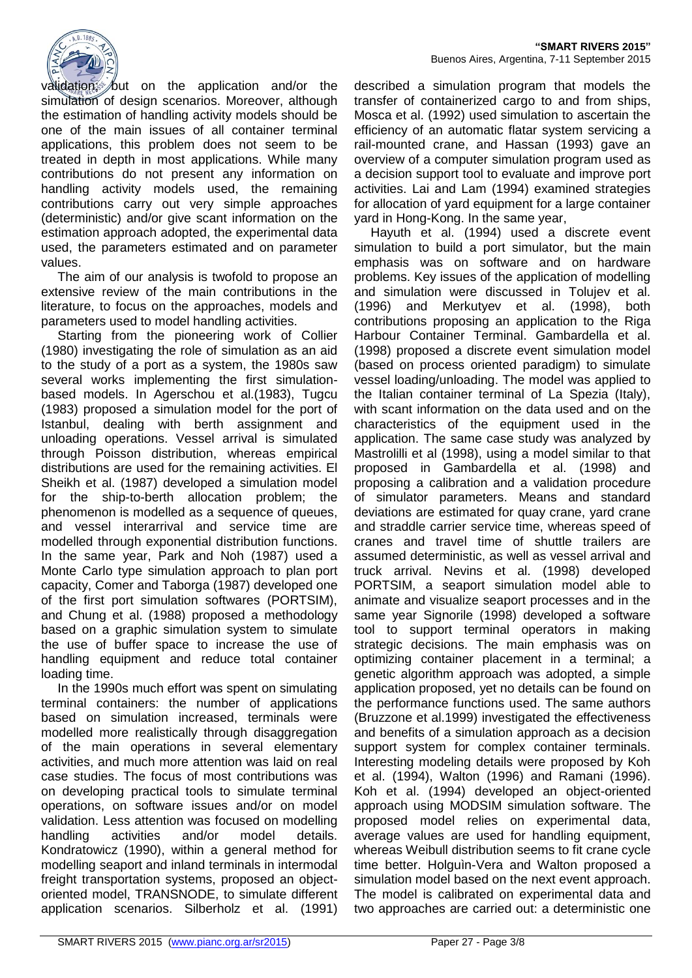

validation; but on the application and/or the simulation of design scenarios. Moreover, although the estimation of handling activity models should be one of the main issues of all container terminal applications, this problem does not seem to be treated in depth in most applications. While many contributions do not present any information on handling activity models used, the remaining contributions carry out very simple approaches (deterministic) and/or give scant information on the estimation approach adopted, the experimental data used, the parameters estimated and on parameter values.

The aim of our analysis is twofold to propose an extensive review of the main contributions in the literature, to focus on the approaches, models and parameters used to model handling activities.

Starting from the pioneering work of Collier (1980) investigating the role of simulation as an aid to the study of a port as a system, the 1980s saw several works implementing the first simulationbased models. In Agerschou et al.(1983), Tugcu (1983) proposed a simulation model for the port of Istanbul, dealing with berth assignment and unloading operations. Vessel arrival is simulated through Poisson distribution, whereas empirical distributions are used for the remaining activities. El Sheikh et al. (1987) developed a simulation model for the ship-to-berth allocation problem; the phenomenon is modelled as a sequence of queues, and vessel interarrival and service time are modelled through exponential distribution functions. In the same year, Park and Noh (1987) used a Monte Carlo type simulation approach to plan port capacity, Comer and Taborga (1987) developed one of the first port simulation softwares (PORTSIM), and Chung et al. (1988) proposed a methodology based on a graphic simulation system to simulate the use of buffer space to increase the use of handling equipment and reduce total container loading time.

In the 1990s much effort was spent on simulating terminal containers: the number of applications based on simulation increased, terminals were modelled more realistically through disaggregation of the main operations in several elementary activities, and much more attention was laid on real case studies. The focus of most contributions was on developing practical tools to simulate terminal operations, on software issues and/or on model validation. Less attention was focused on modelling handling activities and/or model details. Kondratowicz (1990), within a general method for modelling seaport and inland terminals in intermodal freight transportation systems, proposed an objectoriented model, TRANSNODE, to simulate different application scenarios. Silberholz et al. (1991)

described a simulation program that models the transfer of containerized cargo to and from ships, Mosca et al. (1992) used simulation to ascertain the efficiency of an automatic flatar system servicing a rail-mounted crane, and Hassan (1993) gave an overview of a computer simulation program used as a decision support tool to evaluate and improve port activities. Lai and Lam (1994) examined strategies for allocation of yard equipment for a large container yard in Hong-Kong. In the same year,

Hayuth et al. (1994) used a discrete event simulation to build a port simulator, but the main emphasis was on software and on hardware problems. Key issues of the application of modelling and simulation were discussed in Tolujev et al. (1996) and Merkutyev et al. (1998), both contributions proposing an application to the Riga Harbour Container Terminal. Gambardella et al. (1998) proposed a discrete event simulation model (based on process oriented paradigm) to simulate vessel loading/unloading. The model was applied to the Italian container terminal of La Spezia (Italy), with scant information on the data used and on the characteristics of the equipment used in the application. The same case study was analyzed by Mastrolilli et al (1998), using a model similar to that proposed in Gambardella et al. (1998) and proposing a calibration and a validation procedure of simulator parameters. Means and standard deviations are estimated for quay crane, yard crane and straddle carrier service time, whereas speed of cranes and travel time of shuttle trailers are assumed deterministic, as well as vessel arrival and truck arrival. Nevins et al. (1998) developed PORTSIM, a seaport simulation model able to animate and visualize seaport processes and in the same year Signorile (1998) developed a software tool to support terminal operators in making strategic decisions. The main emphasis was on optimizing container placement in a terminal; a genetic algorithm approach was adopted, a simple application proposed, yet no details can be found on the performance functions used. The same authors (Bruzzone et al.1999) investigated the effectiveness and benefits of a simulation approach as a decision support system for complex container terminals. Interesting modeling details were proposed by Koh et al. (1994), Walton (1996) and Ramani (1996). Koh et al. (1994) developed an object-oriented approach using MODSIM simulation software. The proposed model relies on experimental data, average values are used for handling equipment, whereas Weibull distribution seems to fit crane cycle time better. Holguìn-Vera and Walton proposed a simulation model based on the next event approach. The model is calibrated on experimental data and two approaches are carried out: a deterministic one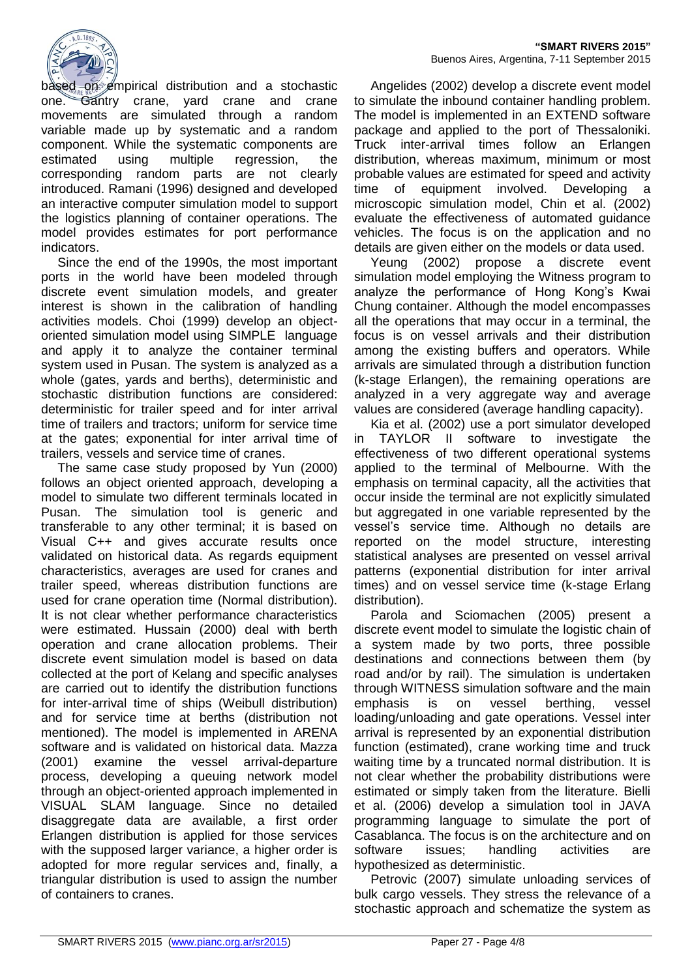

based on empirical distribution and a stochastic one. Gantry crane, yard crane and crane movements are simulated through a random variable made up by systematic and a random component. While the systematic components are estimated using multiple regression, the corresponding random parts are not clearly introduced. Ramani (1996) designed and developed an interactive computer simulation model to support the logistics planning of container operations. The model provides estimates for port performance indicators.

Since the end of the 1990s, the most important ports in the world have been modeled through discrete event simulation models, and greater interest is shown in the calibration of handling activities models. Choi (1999) develop an objectoriented simulation model using SIMPLE language and apply it to analyze the container terminal system used in Pusan. The system is analyzed as a whole (gates, yards and berths), deterministic and stochastic distribution functions are considered: deterministic for trailer speed and for inter arrival time of trailers and tractors; uniform for service time at the gates; exponential for inter arrival time of trailers, vessels and service time of cranes.

The same case study proposed by Yun (2000) follows an object oriented approach, developing a model to simulate two different terminals located in Pusan. The simulation tool is generic and transferable to any other terminal; it is based on Visual C++ and gives accurate results once validated on historical data. As regards equipment characteristics, averages are used for cranes and trailer speed, whereas distribution functions are used for crane operation time (Normal distribution). It is not clear whether performance characteristics were estimated. Hussain (2000) deal with berth operation and crane allocation problems. Their discrete event simulation model is based on data collected at the port of Kelang and specific analyses are carried out to identify the distribution functions for inter-arrival time of ships (Weibull distribution) and for service time at berths (distribution not mentioned). The model is implemented in ARENA software and is validated on historical data. Mazza (2001) examine the vessel arrival-departure process, developing a queuing network model through an object-oriented approach implemented in VISUAL SLAM language. Since no detailed disaggregate data are available, a first order Erlangen distribution is applied for those services with the supposed larger variance, a higher order is adopted for more regular services and, finally, a triangular distribution is used to assign the number of containers to cranes.

Angelides (2002) develop a discrete event model to simulate the inbound container handling problem. The model is implemented in an EXTEND software package and applied to the port of Thessaloniki. Truck inter-arrival times follow an Erlangen distribution, whereas maximum, minimum or most probable values are estimated for speed and activity time of equipment involved. Developing a microscopic simulation model, Chin et al. (2002) evaluate the effectiveness of automated guidance vehicles. The focus is on the application and no details are given either on the models or data used.

Yeung (2002) propose a discrete event simulation model employing the Witness program to analyze the performance of Hong Kong's Kwai Chung container. Although the model encompasses all the operations that may occur in a terminal, the focus is on vessel arrivals and their distribution among the existing buffers and operators. While arrivals are simulated through a distribution function (k-stage Erlangen), the remaining operations are analyzed in a very aggregate way and average values are considered (average handling capacity).

Kia et al. (2002) use a port simulator developed in TAYLOR II software to investigate the effectiveness of two different operational systems applied to the terminal of Melbourne. With the emphasis on terminal capacity, all the activities that occur inside the terminal are not explicitly simulated but aggregated in one variable represented by the vessel's service time. Although no details are reported on the model structure, interesting statistical analyses are presented on vessel arrival patterns (exponential distribution for inter arrival times) and on vessel service time (k-stage Erlang distribution).

Parola and Sciomachen (2005) present a discrete event model to simulate the logistic chain of a system made by two ports, three possible destinations and connections between them (by road and/or by rail). The simulation is undertaken through WITNESS simulation software and the main emphasis is on vessel berthing, vessel loading/unloading and gate operations. Vessel inter arrival is represented by an exponential distribution function (estimated), crane working time and truck waiting time by a truncated normal distribution. It is not clear whether the probability distributions were estimated or simply taken from the literature. Bielli et al. (2006) develop a simulation tool in JAVA programming language to simulate the port of Casablanca. The focus is on the architecture and on software issues; handling activities are hypothesized as deterministic.

Petrovic (2007) simulate unloading services of bulk cargo vessels. They stress the relevance of a stochastic approach and schematize the system as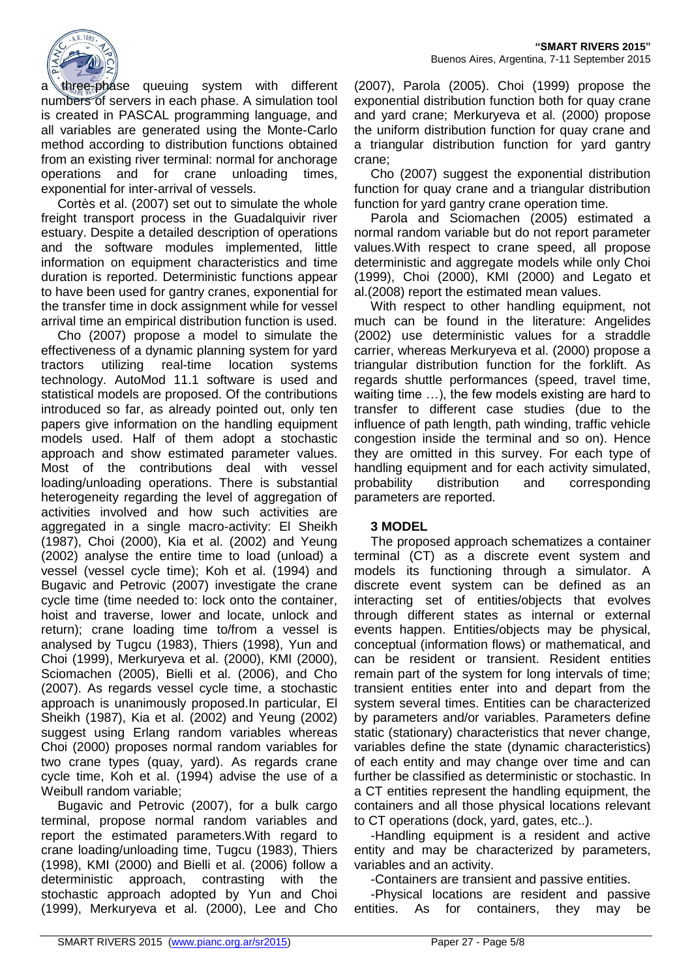a three-phase queuing system with different numbers of servers in each phase. A simulation tool is created in PASCAL programming language, and all variables are generated using the Monte-Carlo method according to distribution functions obtained from an existing river terminal: normal for anchorage operations and for crane unloading times, exponential for inter-arrival of vessels.

Cortès et al. (2007) set out to simulate the whole freight transport process in the Guadalquivir river estuary. Despite a detailed description of operations and the software modules implemented, little information on equipment characteristics and time duration is reported. Deterministic functions appear to have been used for gantry cranes, exponential for the transfer time in dock assignment while for vessel arrival time an empirical distribution function is used.

Cho (2007) propose a model to simulate the effectiveness of a dynamic planning system for yard tractors utilizing real-time location systems technology. AutoMod 11.1 software is used and statistical models are proposed. Of the contributions introduced so far, as already pointed out, only ten papers give information on the handling equipment models used. Half of them adopt a stochastic approach and show estimated parameter values. Most of the contributions deal with vessel loading/unloading operations. There is substantial heterogeneity regarding the level of aggregation of activities involved and how such activities are aggregated in a single macro-activity: El Sheikh (1987), Choi (2000), Kia et al. (2002) and Yeung (2002) analyse the entire time to load (unload) a vessel (vessel cycle time); Koh et al. (1994) and Bugavic and Petrovic (2007) investigate the crane cycle time (time needed to: lock onto the container, hoist and traverse, lower and locate, unlock and return); crane loading time to/from a vessel is analysed by Tugcu (1983), Thiers (1998), Yun and Choi (1999), Merkuryeva et al. (2000), KMI (2000), Sciomachen (2005), Bielli et al. (2006), and Cho (2007). As regards vessel cycle time, a stochastic approach is unanimously proposed.In particular, El Sheikh (1987), Kia et al. (2002) and Yeung (2002) suggest using Erlang random variables whereas Choi (2000) proposes normal random variables for two crane types (quay, yard). As regards crane cycle time, Koh et al. (1994) advise the use of a Weibull random variable;

Bugavic and Petrovic (2007), for a bulk cargo terminal, propose normal random variables and report the estimated parameters.With regard to crane loading/unloading time, Tugcu (1983), Thiers (1998), KMI (2000) and Bielli et al. (2006) follow a deterministic approach, contrasting with the stochastic approach adopted by Yun and Choi (1999), Merkuryeva et al. (2000), Lee and Cho (2007), Parola (2005). Choi (1999) propose the exponential distribution function both for quay crane and yard crane; Merkuryeva et al. (2000) propose the uniform distribution function for quay crane and a triangular distribution function for yard gantry crane;

Cho (2007) suggest the exponential distribution function for quay crane and a triangular distribution function for yard gantry crane operation time.

Parola and Sciomachen (2005) estimated a normal random variable but do not report parameter values.With respect to crane speed, all propose deterministic and aggregate models while only Choi (1999), Choi (2000), KMI (2000) and Legato et al.(2008) report the estimated mean values.

With respect to other handling equipment, not much can be found in the literature: Angelides (2002) use deterministic values for a straddle carrier, whereas Merkuryeva et al. (2000) propose a triangular distribution function for the forklift. As regards shuttle performances (speed, travel time, waiting time …), the few models existing are hard to transfer to different case studies (due to the influence of path length, path winding, traffic vehicle congestion inside the terminal and so on). Hence they are omitted in this survey. For each type of handling equipment and for each activity simulated, probability distribution and corresponding parameters are reported.

# **3 MODEL**

The proposed approach schematizes a container terminal (CT) as a discrete event system and models its functioning through a simulator. A discrete event system can be defined as an interacting set of entities/objects that evolves through different states as internal or external events happen. Entities/objects may be physical, conceptual (information flows) or mathematical, and can be resident or transient. Resident entities remain part of the system for long intervals of time; transient entities enter into and depart from the system several times. Entities can be characterized by parameters and/or variables. Parameters define static (stationary) characteristics that never change, variables define the state (dynamic characteristics) of each entity and may change over time and can further be classified as deterministic or stochastic. In a CT entities represent the handling equipment, the containers and all those physical locations relevant to CT operations (dock, yard, gates, etc..).

-Handling equipment is a resident and active entity and may be characterized by parameters, variables and an activity.

-Containers are transient and passive entities.

-Physical locations are resident and passive entities. As for containers, they may be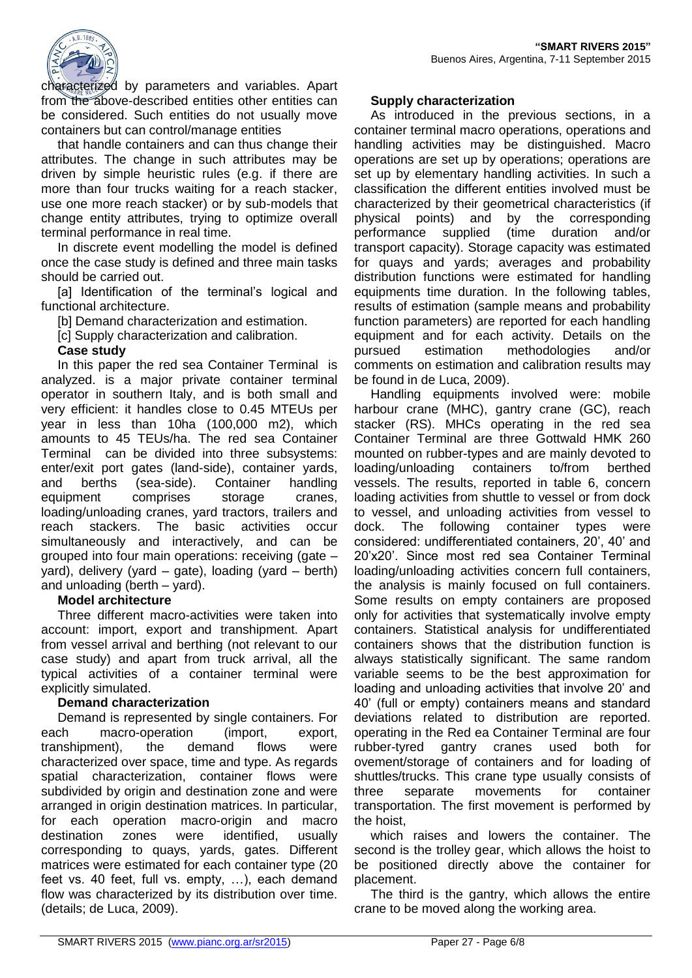

characterized by parameters and variables. Apart from the above-described entities other entities can be considered. Such entities do not usually move containers but can control/manage entities

that handle containers and can thus change their attributes. The change in such attributes may be driven by simple heuristic rules (e.g. if there are more than four trucks waiting for a reach stacker, use one more reach stacker) or by sub-models that change entity attributes, trying to optimize overall terminal performance in real time.

In discrete event modelling the model is defined once the case study is defined and three main tasks should be carried out.

[a] Identification of the terminal's logical and functional architecture.

[b] Demand characterization and estimation.

[c] Supply characterization and calibration.

#### **Case study**

In this paper the red sea Container Terminal is analyzed. is a major private container terminal operator in southern Italy, and is both small and very efficient: it handles close to 0.45 MTEUs per year in less than 10ha (100,000 m2), which amounts to 45 TEUs/ha. The red sea Container Terminal can be divided into three subsystems: enter/exit port gates (land-side), container yards, and berths (sea-side). Container handling equipment comprises storage cranes, loading/unloading cranes, yard tractors, trailers and reach stackers. The basic activities occur simultaneously and interactively, and can be grouped into four main operations: receiving (gate – yard), delivery (yard – gate), loading (yard – berth) and unloading (berth – yard).

#### **Model architecture**

Three different macro-activities were taken into account: import, export and transhipment. Apart from vessel arrival and berthing (not relevant to our case study) and apart from truck arrival, all the typical activities of a container terminal were explicitly simulated.

#### **Demand characterization**

Demand is represented by single containers. For each macro-operation (import, export, transhipment), the demand flows were characterized over space, time and type. As regards spatial characterization, container flows were subdivided by origin and destination zone and were arranged in origin destination matrices. In particular, for each operation macro-origin and macro destination zones were identified, usually corresponding to quays, yards, gates. Different matrices were estimated for each container type (20 feet vs. 40 feet, full vs. empty, …), each demand flow was characterized by its distribution over time. (details; de Luca, 2009).

#### **Supply characterization**

As introduced in the previous sections, in a container terminal macro operations, operations and handling activities may be distinguished. Macro operations are set up by operations; operations are set up by elementary handling activities. In such a classification the different entities involved must be characterized by their geometrical characteristics (if physical points) and by the corresponding performance supplied (time duration and/or transport capacity). Storage capacity was estimated for quays and yards; averages and probability distribution functions were estimated for handling equipments time duration. In the following tables, results of estimation (sample means and probability function parameters) are reported for each handling equipment and for each activity. Details on the pursued estimation methodologies and/or comments on estimation and calibration results may be found in de Luca, 2009).

Handling equipments involved were: mobile harbour crane (MHC), gantry crane (GC), reach stacker (RS). MHCs operating in the red sea Container Terminal are three Gottwald HMK 260 mounted on rubber-types and are mainly devoted to loading/unloading containers to/from berthed vessels. The results, reported in table 6, concern loading activities from shuttle to vessel or from dock to vessel, and unloading activities from vessel to dock. The following container types were considered: undifferentiated containers, 20', 40' and 20'x20'. Since most red sea Container Terminal loading/unloading activities concern full containers, the analysis is mainly focused on full containers. Some results on empty containers are proposed only for activities that systematically involve empty containers. Statistical analysis for undifferentiated containers shows that the distribution function is always statistically significant. The same random variable seems to be the best approximation for loading and unloading activities that involve 20' and 40' (full or empty) containers means and standard deviations related to distribution are reported. operating in the Red ea Container Terminal are four rubber-tyred gantry cranes used both for ovement/storage of containers and for loading of shuttles/trucks. This crane type usually consists of three separate movements for container transportation. The first movement is performed by the hoist,

which raises and lowers the container. The second is the trolley gear, which allows the hoist to be positioned directly above the container for placement.

The third is the gantry, which allows the entire crane to be moved along the working area.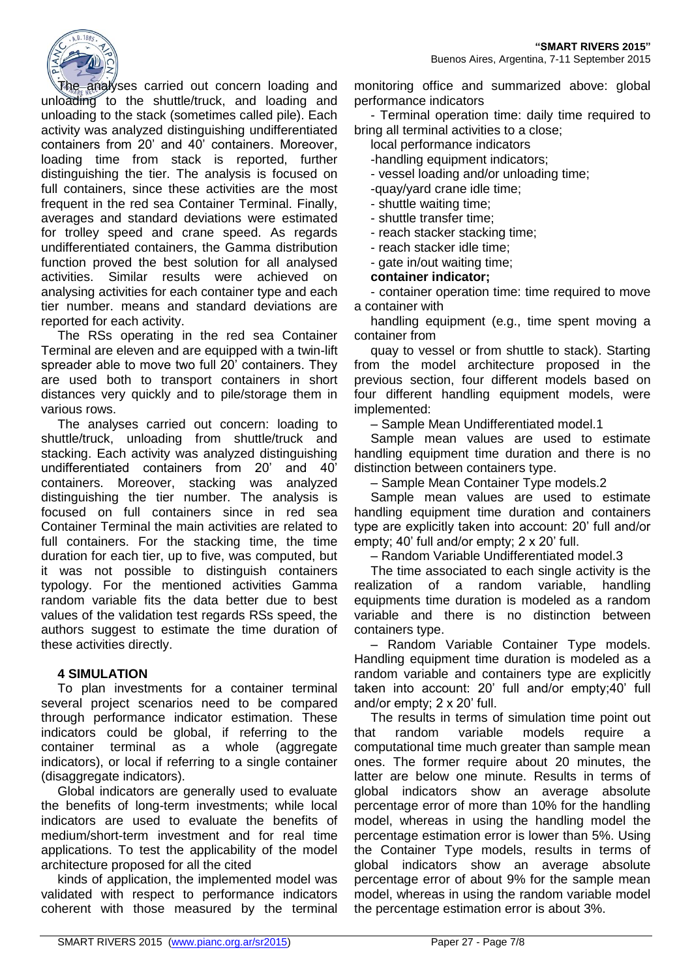

The analyses carried out concern loading and unloading to the shuttle/truck, and loading and unloading to the stack (sometimes called pile). Each activity was analyzed distinguishing undifferentiated containers from 20' and 40' containers. Moreover, loading time from stack is reported, further distinguishing the tier. The analysis is focused on full containers, since these activities are the most frequent in the red sea Container Terminal. Finally, averages and standard deviations were estimated for trolley speed and crane speed. As regards undifferentiated containers, the Gamma distribution function proved the best solution for all analysed activities. Similar results were achieved on analysing activities for each container type and each tier number. means and standard deviations are reported for each activity.

The RSs operating in the red sea Container Terminal are eleven and are equipped with a twin-lift spreader able to move two full 20' containers. They are used both to transport containers in short distances very quickly and to pile/storage them in various rows.

The analyses carried out concern: loading to shuttle/truck, unloading from shuttle/truck and stacking. Each activity was analyzed distinguishing undifferentiated containers from 20' and 40' containers. Moreover, stacking was analyzed distinguishing the tier number. The analysis is focused on full containers since in red sea Container Terminal the main activities are related to full containers. For the stacking time, the time duration for each tier, up to five, was computed, but it was not possible to distinguish containers typology. For the mentioned activities Gamma random variable fits the data better due to best values of the validation test regards RSs speed, the authors suggest to estimate the time duration of these activities directly.

# **4 SIMULATION**

To plan investments for a container terminal several project scenarios need to be compared through performance indicator estimation. These indicators could be global, if referring to the container terminal as a whole (aggregate indicators), or local if referring to a single container (disaggregate indicators).

Global indicators are generally used to evaluate the benefits of long-term investments; while local indicators are used to evaluate the benefits of medium/short-term investment and for real time applications. To test the applicability of the model architecture proposed for all the cited

kinds of application, the implemented model was validated with respect to performance indicators coherent with those measured by the terminal monitoring office and summarized above: global performance indicators

- Terminal operation time: daily time required to bring all terminal activities to a close;

local performance indicators

-handling equipment indicators;

- vessel loading and/or unloading time;

-quay/yard crane idle time;

- shuttle waiting time;

- shuttle transfer time;

- reach stacker stacking time;

- reach stacker idle time;

- gate in/out waiting time;

**container indicator;**

- container operation time: time required to move a container with

handling equipment (e.g., time spent moving a container from

quay to vessel or from shuttle to stack). Starting from the model architecture proposed in the previous section, four different models based on four different handling equipment models, were implemented:

– Sample Mean Undifferentiated model.1

Sample mean values are used to estimate handling equipment time duration and there is no distinction between containers type.

– Sample Mean Container Type models.2

Sample mean values are used to estimate handling equipment time duration and containers type are explicitly taken into account: 20' full and/or empty; 40' full and/or empty; 2 x 20' full.

– Random Variable Undifferentiated model.3

The time associated to each single activity is the realization of a random variable, handling equipments time duration is modeled as a random variable and there is no distinction between containers type.

– Random Variable Container Type models. Handling equipment time duration is modeled as a random variable and containers type are explicitly taken into account: 20' full and/or empty;40' full and/or empty; 2 x 20' full.

The results in terms of simulation time point out that random variable models require a computational time much greater than sample mean ones. The former require about 20 minutes, the latter are below one minute. Results in terms of global indicators show an average absolute percentage error of more than 10% for the handling model, whereas in using the handling model the percentage estimation error is lower than 5%. Using the Container Type models, results in terms of global indicators show an average absolute percentage error of about 9% for the sample mean model, whereas in using the random variable model the percentage estimation error is about 3%.